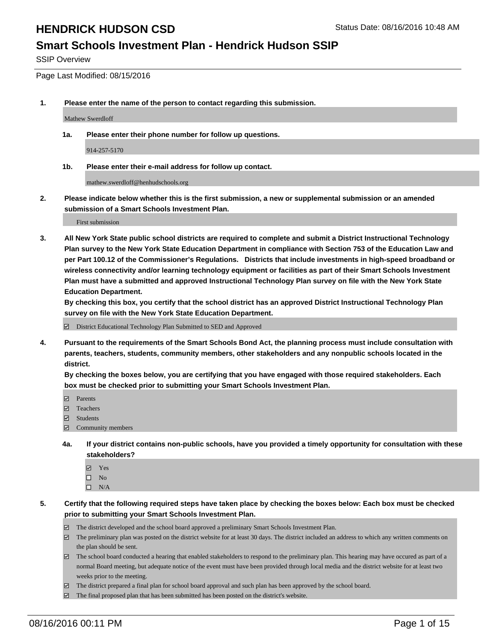#### **Smart Schools Investment Plan - Hendrick Hudson SSIP**

SSIP Overview

Page Last Modified: 08/15/2016

**1. Please enter the name of the person to contact regarding this submission.**

Mathew Swerdloff

**1a. Please enter their phone number for follow up questions.**

914-257-5170

**1b. Please enter their e-mail address for follow up contact.**

mathew.swerdloff@henhudschools.org

**2. Please indicate below whether this is the first submission, a new or supplemental submission or an amended submission of a Smart Schools Investment Plan.**

First submission

**3. All New York State public school districts are required to complete and submit a District Instructional Technology Plan survey to the New York State Education Department in compliance with Section 753 of the Education Law and per Part 100.12 of the Commissioner's Regulations. Districts that include investments in high-speed broadband or wireless connectivity and/or learning technology equipment or facilities as part of their Smart Schools Investment Plan must have a submitted and approved Instructional Technology Plan survey on file with the New York State Education Department.** 

**By checking this box, you certify that the school district has an approved District Instructional Technology Plan survey on file with the New York State Education Department.**

District Educational Technology Plan Submitted to SED and Approved

**4. Pursuant to the requirements of the Smart Schools Bond Act, the planning process must include consultation with parents, teachers, students, community members, other stakeholders and any nonpublic schools located in the district.** 

**By checking the boxes below, you are certifying that you have engaged with those required stakeholders. Each box must be checked prior to submitting your Smart Schools Investment Plan.**

- **Parents**
- Teachers
- Students
- Community members
- **4a. If your district contains non-public schools, have you provided a timely opportunity for consultation with these stakeholders?**
	- Yes  $\square$  No
	- $\square$  N/A
- **5. Certify that the following required steps have taken place by checking the boxes below: Each box must be checked prior to submitting your Smart Schools Investment Plan.**
	- The district developed and the school board approved a preliminary Smart Schools Investment Plan.
	- $\boxdot$  The preliminary plan was posted on the district website for at least 30 days. The district included an address to which any written comments on the plan should be sent.
	- $\Box$  The school board conducted a hearing that enabled stakeholders to respond to the preliminary plan. This hearing may have occured as part of a normal Board meeting, but adequate notice of the event must have been provided through local media and the district website for at least two weeks prior to the meeting.
	- The district prepared a final plan for school board approval and such plan has been approved by the school board.
	- $\boxdot$  The final proposed plan that has been submitted has been posted on the district's website.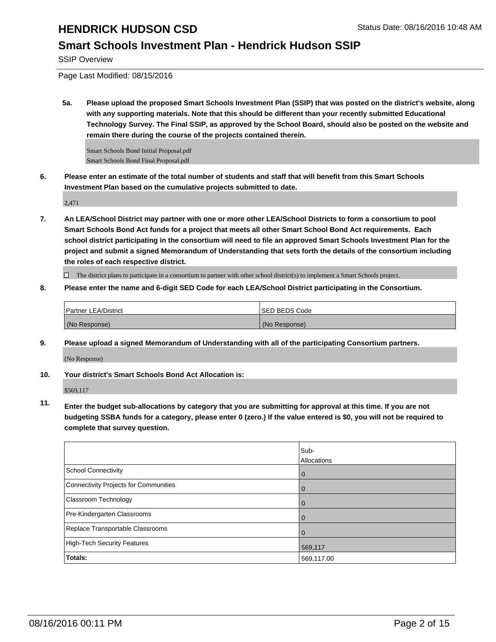### **Smart Schools Investment Plan - Hendrick Hudson SSIP**

SSIP Overview

Page Last Modified: 08/15/2016

**5a. Please upload the proposed Smart Schools Investment Plan (SSIP) that was posted on the district's website, along with any supporting materials. Note that this should be different than your recently submitted Educational Technology Survey. The Final SSIP, as approved by the School Board, should also be posted on the website and remain there during the course of the projects contained therein.**

Smart Schools Bond Initial Proposal.pdf Smart Schools Bond Final Proposal.pdf

**6. Please enter an estimate of the total number of students and staff that will benefit from this Smart Schools Investment Plan based on the cumulative projects submitted to date.**

2,471

**7. An LEA/School District may partner with one or more other LEA/School Districts to form a consortium to pool Smart Schools Bond Act funds for a project that meets all other Smart School Bond Act requirements. Each school district participating in the consortium will need to file an approved Smart Schools Investment Plan for the project and submit a signed Memorandum of Understanding that sets forth the details of the consortium including the roles of each respective district.**

 $\Box$  The district plans to participate in a consortium to partner with other school district(s) to implement a Smart Schools project.

**8. Please enter the name and 6-digit SED Code for each LEA/School District participating in the Consortium.**

| Partner LEA/District | <b>ISED BEDS Code</b> |
|----------------------|-----------------------|
| (No Response)        | (No Response)         |

**9. Please upload a signed Memorandum of Understanding with all of the participating Consortium partners.**

(No Response)

#### **10. Your district's Smart Schools Bond Act Allocation is:**

\$569,117

**11. Enter the budget sub-allocations by category that you are submitting for approval at this time. If you are not budgeting SSBA funds for a category, please enter 0 (zero.) If the value entered is \$0, you will not be required to complete that survey question.**

|                                       | Sub-<br>Allocations |
|---------------------------------------|---------------------|
| School Connectivity                   | U                   |
| Connectivity Projects for Communities |                     |
| <b>Classroom Technology</b>           | $\Omega$            |
| Pre-Kindergarten Classrooms           |                     |
| Replace Transportable Classrooms      |                     |
| High-Tech Security Features           | 569,117             |
| <b>Totals:</b>                        | 569,117.00          |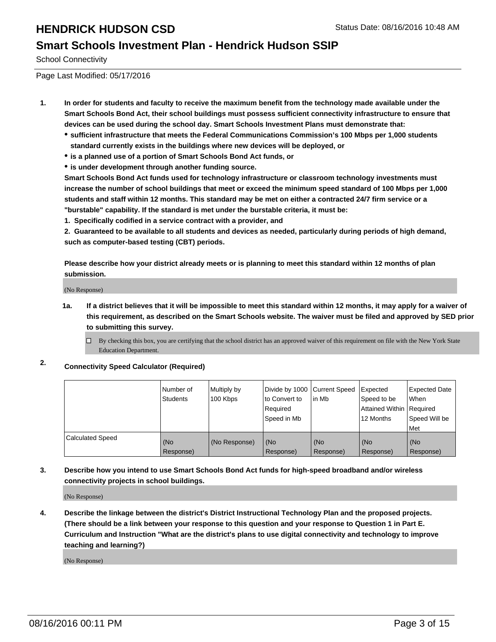#### **Smart Schools Investment Plan - Hendrick Hudson SSIP**

School Connectivity

Page Last Modified: 05/17/2016

- **1. In order for students and faculty to receive the maximum benefit from the technology made available under the Smart Schools Bond Act, their school buildings must possess sufficient connectivity infrastructure to ensure that devices can be used during the school day. Smart Schools Investment Plans must demonstrate that:**
	- **sufficient infrastructure that meets the Federal Communications Commission's 100 Mbps per 1,000 students standard currently exists in the buildings where new devices will be deployed, or**
	- **is a planned use of a portion of Smart Schools Bond Act funds, or**
	- **is under development through another funding source.**

**Smart Schools Bond Act funds used for technology infrastructure or classroom technology investments must increase the number of school buildings that meet or exceed the minimum speed standard of 100 Mbps per 1,000 students and staff within 12 months. This standard may be met on either a contracted 24/7 firm service or a "burstable" capability. If the standard is met under the burstable criteria, it must be:**

**1. Specifically codified in a service contract with a provider, and**

**2. Guaranteed to be available to all students and devices as needed, particularly during periods of high demand, such as computer-based testing (CBT) periods.**

**Please describe how your district already meets or is planning to meet this standard within 12 months of plan submission.**

(No Response)

- **1a. If a district believes that it will be impossible to meet this standard within 12 months, it may apply for a waiver of this requirement, as described on the Smart Schools website. The waiver must be filed and approved by SED prior to submitting this survey.**
	- $\Box$  By checking this box, you are certifying that the school district has an approved waiver of this requirement on file with the New York State Education Department.
- **2. Connectivity Speed Calculator (Required)**

|                         | l Number of<br>Students | Multiply by<br>100 Kbps | Divide by 1000 Current Speed<br>lto Convert to<br>Reauired<br>Speed in Mb | lin Mb           | Expected<br>Speed to be<br>Attained Within   Required<br>12 Months | <b>Expected Date</b><br><b>When</b><br>Speed Will be<br>l Met |
|-------------------------|-------------------------|-------------------------|---------------------------------------------------------------------------|------------------|--------------------------------------------------------------------|---------------------------------------------------------------|
| <b>Calculated Speed</b> | (No<br>Response)        | (No Response)           | (No<br>Response)                                                          | (No<br>Response) | (No<br>Response)                                                   | l (No<br>Response)                                            |

#### **3. Describe how you intend to use Smart Schools Bond Act funds for high-speed broadband and/or wireless connectivity projects in school buildings.**

(No Response)

**4. Describe the linkage between the district's District Instructional Technology Plan and the proposed projects. (There should be a link between your response to this question and your response to Question 1 in Part E. Curriculum and Instruction "What are the district's plans to use digital connectivity and technology to improve teaching and learning?)**

(No Response)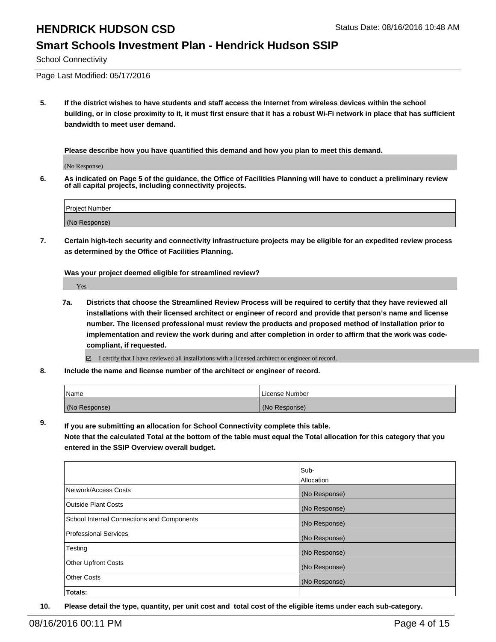#### **Smart Schools Investment Plan - Hendrick Hudson SSIP**

School Connectivity

Page Last Modified: 05/17/2016

**5. If the district wishes to have students and staff access the Internet from wireless devices within the school building, or in close proximity to it, it must first ensure that it has a robust Wi-Fi network in place that has sufficient bandwidth to meet user demand.**

**Please describe how you have quantified this demand and how you plan to meet this demand.**

(No Response)

**6. As indicated on Page 5 of the guidance, the Office of Facilities Planning will have to conduct a preliminary review of all capital projects, including connectivity projects.**

| <b>Project Number</b> |  |  |  |
|-----------------------|--|--|--|
|                       |  |  |  |
| (No Response)         |  |  |  |

**7. Certain high-tech security and connectivity infrastructure projects may be eligible for an expedited review process as determined by the Office of Facilities Planning.**

**Was your project deemed eligible for streamlined review?**

Yes

**7a. Districts that choose the Streamlined Review Process will be required to certify that they have reviewed all installations with their licensed architect or engineer of record and provide that person's name and license number. The licensed professional must review the products and proposed method of installation prior to implementation and review the work during and after completion in order to affirm that the work was codecompliant, if requested.**

 $\Box$  I certify that I have reviewed all installations with a licensed architect or engineer of record.

**8. Include the name and license number of the architect or engineer of record.**

| l Name        | License Number |
|---------------|----------------|
| (No Response) | (No Response)  |

**9. If you are submitting an allocation for School Connectivity complete this table. Note that the calculated Total at the bottom of the table must equal the Total allocation for this category that you**

**entered in the SSIP Overview overall budget.** 

|                                                   | Sub-          |
|---------------------------------------------------|---------------|
|                                                   | Allocation    |
| Network/Access Costs                              | (No Response) |
| <b>Outside Plant Costs</b>                        | (No Response) |
| <b>School Internal Connections and Components</b> | (No Response) |
| Professional Services                             | (No Response) |
| Testing                                           | (No Response) |
| <b>Other Upfront Costs</b>                        | (No Response) |
| Other Costs                                       | (No Response) |
| Totals:                                           |               |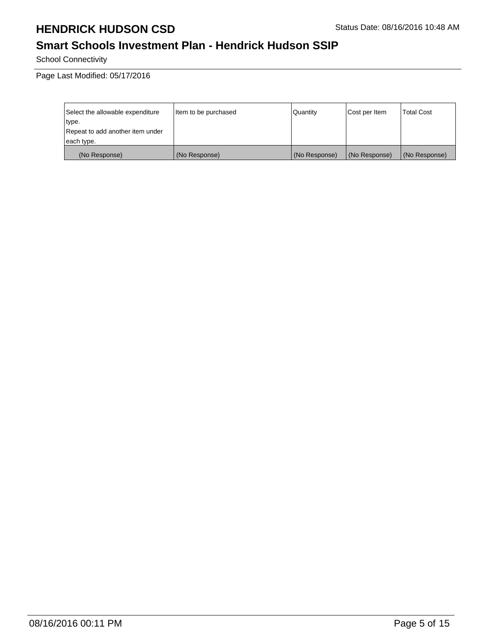## **Smart Schools Investment Plan - Hendrick Hudson SSIP**

School Connectivity

Page Last Modified: 05/17/2016

| Select the allowable expenditure | Item to be purchased | Quantity      | Cost per Item | <b>Total Cost</b> |
|----------------------------------|----------------------|---------------|---------------|-------------------|
| type.                            |                      |               |               |                   |
| Repeat to add another item under |                      |               |               |                   |
| each type.                       |                      |               |               |                   |
| (No Response)                    | (No Response)        | (No Response) | (No Response) | (No Response)     |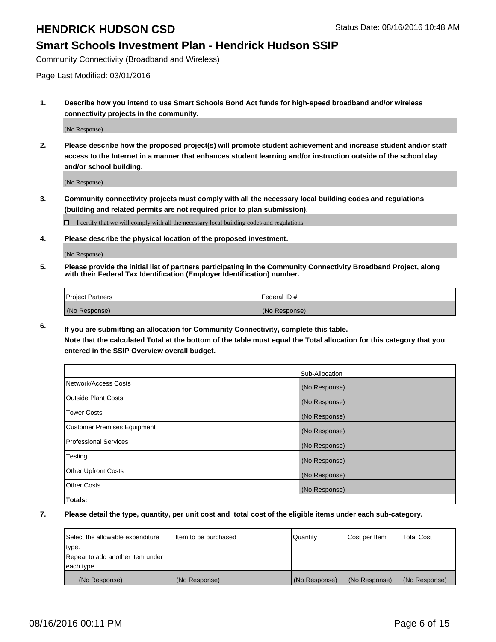#### **Smart Schools Investment Plan - Hendrick Hudson SSIP**

Community Connectivity (Broadband and Wireless)

Page Last Modified: 03/01/2016

**1. Describe how you intend to use Smart Schools Bond Act funds for high-speed broadband and/or wireless connectivity projects in the community.**

(No Response)

**2. Please describe how the proposed project(s) will promote student achievement and increase student and/or staff access to the Internet in a manner that enhances student learning and/or instruction outside of the school day and/or school building.**

(No Response)

**3. Community connectivity projects must comply with all the necessary local building codes and regulations (building and related permits are not required prior to plan submission).**

 $\Box$  I certify that we will comply with all the necessary local building codes and regulations.

**4. Please describe the physical location of the proposed investment.**

(No Response)

**5. Please provide the initial list of partners participating in the Community Connectivity Broadband Project, along with their Federal Tax Identification (Employer Identification) number.**

| Project Partners | <b>IFederal ID#</b> |
|------------------|---------------------|
| (No Response)    | (No Response)       |

**6. If you are submitting an allocation for Community Connectivity, complete this table. Note that the calculated Total at the bottom of the table must equal the Total allocation for this category that you**

**entered in the SSIP Overview overall budget.**

|                             | Sub-Allocation |
|-----------------------------|----------------|
| Network/Access Costs        | (No Response)  |
| <b>Outside Plant Costs</b>  | (No Response)  |
| Tower Costs                 | (No Response)  |
| Customer Premises Equipment | (No Response)  |
| Professional Services       | (No Response)  |
| Testing                     | (No Response)  |
| <b>Other Upfront Costs</b>  | (No Response)  |
| Other Costs                 | (No Response)  |
| Totals:                     |                |

| Select the allowable expenditure | Item to be purchased | Quantity      | Cost per Item | <b>Total Cost</b> |
|----------------------------------|----------------------|---------------|---------------|-------------------|
| type.                            |                      |               |               |                   |
| Repeat to add another item under |                      |               |               |                   |
| each type.                       |                      |               |               |                   |
| (No Response)                    | (No Response)        | (No Response) | (No Response) | (No Response)     |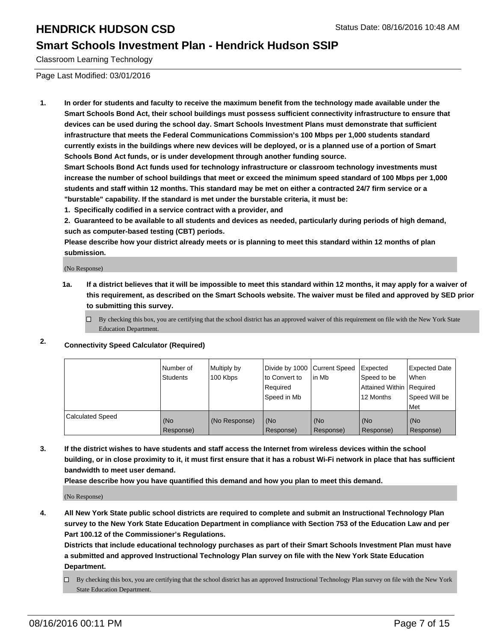#### **Smart Schools Investment Plan - Hendrick Hudson SSIP**

Classroom Learning Technology

Page Last Modified: 03/01/2016

**1. In order for students and faculty to receive the maximum benefit from the technology made available under the Smart Schools Bond Act, their school buildings must possess sufficient connectivity infrastructure to ensure that devices can be used during the school day. Smart Schools Investment Plans must demonstrate that sufficient infrastructure that meets the Federal Communications Commission's 100 Mbps per 1,000 students standard currently exists in the buildings where new devices will be deployed, or is a planned use of a portion of Smart Schools Bond Act funds, or is under development through another funding source.**

**Smart Schools Bond Act funds used for technology infrastructure or classroom technology investments must increase the number of school buildings that meet or exceed the minimum speed standard of 100 Mbps per 1,000 students and staff within 12 months. This standard may be met on either a contracted 24/7 firm service or a "burstable" capability. If the standard is met under the burstable criteria, it must be:**

**1. Specifically codified in a service contract with a provider, and**

**2. Guaranteed to be available to all students and devices as needed, particularly during periods of high demand, such as computer-based testing (CBT) periods.**

**Please describe how your district already meets or is planning to meet this standard within 12 months of plan submission.**

(No Response)

- **1a. If a district believes that it will be impossible to meet this standard within 12 months, it may apply for a waiver of this requirement, as described on the Smart Schools website. The waiver must be filed and approved by SED prior to submitting this survey.**
	- $\Box$  By checking this box, you are certifying that the school district has an approved waiver of this requirement on file with the New York State Education Department.
- **2. Connectivity Speed Calculator (Required)**

|                         | INumber of<br>Students | Multiply by<br>100 Kbps | Ito Convert to<br>Reauired<br>Speed in Mb | Divide by 1000 Current Speed Expected<br>lin Mb | Speed to be<br>Attained Within   Required<br>12 Months | <b>Expected Date</b><br>l When<br>Speed Will be<br>Met |
|-------------------------|------------------------|-------------------------|-------------------------------------------|-------------------------------------------------|--------------------------------------------------------|--------------------------------------------------------|
| <b>Calculated Speed</b> | (No<br>Response)       | (No Response)           | (No<br>Response)                          | (No<br>Response)                                | l (No<br>Response)                                     | (No<br>Response)                                       |

**3. If the district wishes to have students and staff access the Internet from wireless devices within the school building, or in close proximity to it, it must first ensure that it has a robust Wi-Fi network in place that has sufficient bandwidth to meet user demand.**

**Please describe how you have quantified this demand and how you plan to meet this demand.**

(No Response)

**4. All New York State public school districts are required to complete and submit an Instructional Technology Plan survey to the New York State Education Department in compliance with Section 753 of the Education Law and per Part 100.12 of the Commissioner's Regulations.**

**Districts that include educational technology purchases as part of their Smart Schools Investment Plan must have a submitted and approved Instructional Technology Plan survey on file with the New York State Education Department.**

By checking this box, you are certifying that the school district has an approved Instructional Technology Plan survey on file with the New York State Education Department.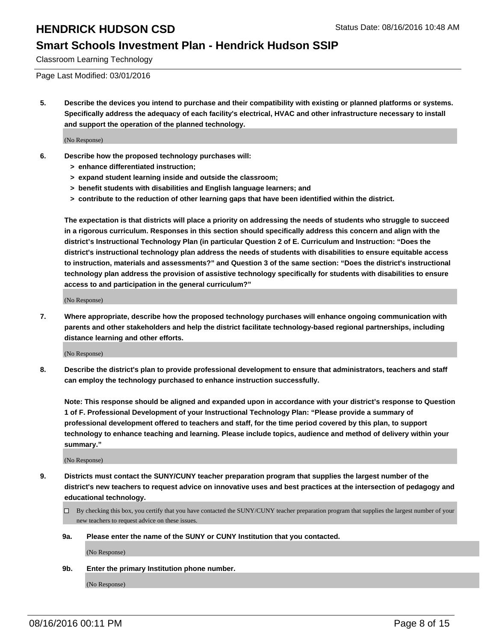#### **Smart Schools Investment Plan - Hendrick Hudson SSIP**

Classroom Learning Technology

Page Last Modified: 03/01/2016

**5. Describe the devices you intend to purchase and their compatibility with existing or planned platforms or systems. Specifically address the adequacy of each facility's electrical, HVAC and other infrastructure necessary to install and support the operation of the planned technology.**

(No Response)

- **6. Describe how the proposed technology purchases will:**
	- **> enhance differentiated instruction;**
	- **> expand student learning inside and outside the classroom;**
	- **> benefit students with disabilities and English language learners; and**
	- **> contribute to the reduction of other learning gaps that have been identified within the district.**

**The expectation is that districts will place a priority on addressing the needs of students who struggle to succeed in a rigorous curriculum. Responses in this section should specifically address this concern and align with the district's Instructional Technology Plan (in particular Question 2 of E. Curriculum and Instruction: "Does the district's instructional technology plan address the needs of students with disabilities to ensure equitable access to instruction, materials and assessments?" and Question 3 of the same section: "Does the district's instructional technology plan address the provision of assistive technology specifically for students with disabilities to ensure access to and participation in the general curriculum?"**

(No Response)

**7. Where appropriate, describe how the proposed technology purchases will enhance ongoing communication with parents and other stakeholders and help the district facilitate technology-based regional partnerships, including distance learning and other efforts.**

(No Response)

**8. Describe the district's plan to provide professional development to ensure that administrators, teachers and staff can employ the technology purchased to enhance instruction successfully.**

**Note: This response should be aligned and expanded upon in accordance with your district's response to Question 1 of F. Professional Development of your Instructional Technology Plan: "Please provide a summary of professional development offered to teachers and staff, for the time period covered by this plan, to support technology to enhance teaching and learning. Please include topics, audience and method of delivery within your summary."**

(No Response)

- **9. Districts must contact the SUNY/CUNY teacher preparation program that supplies the largest number of the district's new teachers to request advice on innovative uses and best practices at the intersection of pedagogy and educational technology.**
	- $\Box$  By checking this box, you certify that you have contacted the SUNY/CUNY teacher preparation program that supplies the largest number of your new teachers to request advice on these issues.
	- **9a. Please enter the name of the SUNY or CUNY Institution that you contacted.**

(No Response)

**9b. Enter the primary Institution phone number.**

(No Response)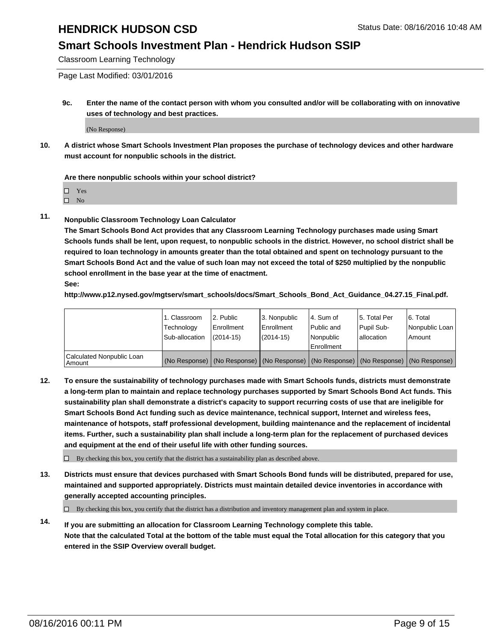#### **Smart Schools Investment Plan - Hendrick Hudson SSIP**

Classroom Learning Technology

Page Last Modified: 03/01/2016

**9c. Enter the name of the contact person with whom you consulted and/or will be collaborating with on innovative uses of technology and best practices.**

(No Response)

**10. A district whose Smart Schools Investment Plan proposes the purchase of technology devices and other hardware must account for nonpublic schools in the district.**

**Are there nonpublic schools within your school district?**

□ Yes

 $\hfill \square$  No

**11. Nonpublic Classroom Technology Loan Calculator**

**The Smart Schools Bond Act provides that any Classroom Learning Technology purchases made using Smart Schools funds shall be lent, upon request, to nonpublic schools in the district. However, no school district shall be required to loan technology in amounts greater than the total obtained and spent on technology pursuant to the Smart Schools Bond Act and the value of such loan may not exceed the total of \$250 multiplied by the nonpublic school enrollment in the base year at the time of enactment. See:**

**http://www.p12.nysed.gov/mgtserv/smart\_schools/docs/Smart\_Schools\_Bond\_Act\_Guidance\_04.27.15\_Final.pdf.**

|                                         | 1. Classroom   | 2. Public         | 3. Nonpublic                                                                                  | l 4. Sum of  | 5. Total Per | 6. Total       |
|-----------------------------------------|----------------|-------------------|-----------------------------------------------------------------------------------------------|--------------|--------------|----------------|
|                                         | Technology     | <b>Enrollment</b> | Enrollment                                                                                    | l Public and | Pupil Sub-   | Nonpublic Loan |
|                                         | Sub-allocation | $(2014 - 15)$     | $(2014-15)$                                                                                   | Nonpublic    | lallocation  | Amount         |
| Calculated Nonpublic Loan<br>l Amount i |                |                   | (No Response)   (No Response)   (No Response)   (No Response)   (No Response)   (No Response) | Enrollment   |              |                |

**12. To ensure the sustainability of technology purchases made with Smart Schools funds, districts must demonstrate a long-term plan to maintain and replace technology purchases supported by Smart Schools Bond Act funds. This sustainability plan shall demonstrate a district's capacity to support recurring costs of use that are ineligible for Smart Schools Bond Act funding such as device maintenance, technical support, Internet and wireless fees, maintenance of hotspots, staff professional development, building maintenance and the replacement of incidental items. Further, such a sustainability plan shall include a long-term plan for the replacement of purchased devices and equipment at the end of their useful life with other funding sources.**

 $\square$  By checking this box, you certify that the district has a sustainability plan as described above.

**13. Districts must ensure that devices purchased with Smart Schools Bond funds will be distributed, prepared for use, maintained and supported appropriately. Districts must maintain detailed device inventories in accordance with generally accepted accounting principles.**

 $\Box$  By checking this box, you certify that the district has a distribution and inventory management plan and system in place.

**14. If you are submitting an allocation for Classroom Learning Technology complete this table. Note that the calculated Total at the bottom of the table must equal the Total allocation for this category that you entered in the SSIP Overview overall budget.**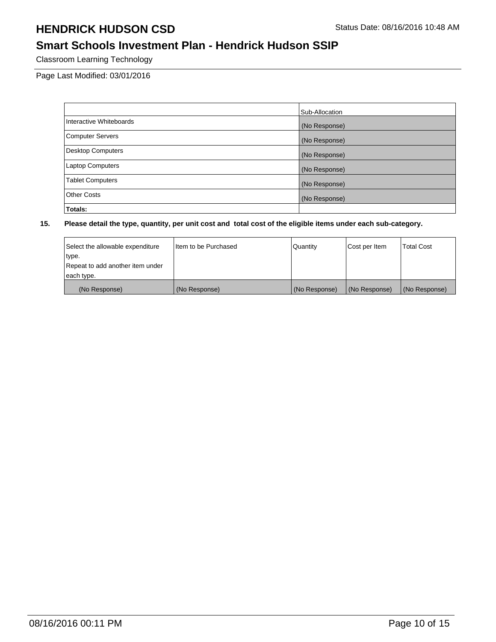## **Smart Schools Investment Plan - Hendrick Hudson SSIP**

Classroom Learning Technology

Page Last Modified: 03/01/2016

|                          | Sub-Allocation |
|--------------------------|----------------|
| Interactive Whiteboards  | (No Response)  |
| <b>Computer Servers</b>  | (No Response)  |
| <b>Desktop Computers</b> | (No Response)  |
| <b>Laptop Computers</b>  | (No Response)  |
| <b>Tablet Computers</b>  | (No Response)  |
| Other Costs              | (No Response)  |
| Totals:                  |                |

| Select the allowable expenditure | I Item to be Purchased | Quantity      | Cost per Item | <b>Total Cost</b> |
|----------------------------------|------------------------|---------------|---------------|-------------------|
| type.                            |                        |               |               |                   |
| Repeat to add another item under |                        |               |               |                   |
| each type.                       |                        |               |               |                   |
| (No Response)                    | (No Response)          | (No Response) | (No Response) | (No Response)     |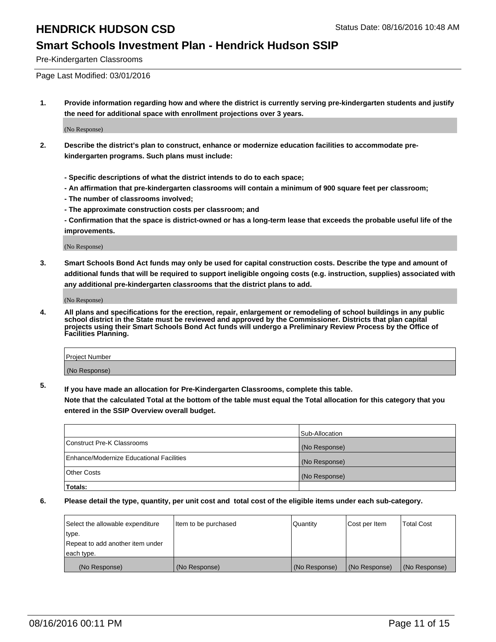#### **Smart Schools Investment Plan - Hendrick Hudson SSIP**

Pre-Kindergarten Classrooms

Page Last Modified: 03/01/2016

**1. Provide information regarding how and where the district is currently serving pre-kindergarten students and justify the need for additional space with enrollment projections over 3 years.**

(No Response)

- **2. Describe the district's plan to construct, enhance or modernize education facilities to accommodate prekindergarten programs. Such plans must include:**
	- **Specific descriptions of what the district intends to do to each space;**
	- **An affirmation that pre-kindergarten classrooms will contain a minimum of 900 square feet per classroom;**
	- **The number of classrooms involved;**
	- **The approximate construction costs per classroom; and**
	- **Confirmation that the space is district-owned or has a long-term lease that exceeds the probable useful life of the improvements.**

(No Response)

**3. Smart Schools Bond Act funds may only be used for capital construction costs. Describe the type and amount of additional funds that will be required to support ineligible ongoing costs (e.g. instruction, supplies) associated with any additional pre-kindergarten classrooms that the district plans to add.**

(No Response)

**4. All plans and specifications for the erection, repair, enlargement or remodeling of school buildings in any public school district in the State must be reviewed and approved by the Commissioner. Districts that plan capital projects using their Smart Schools Bond Act funds will undergo a Preliminary Review Process by the Office of Facilities Planning.**

| Project Number |  |
|----------------|--|
| (No Response)  |  |

**5. If you have made an allocation for Pre-Kindergarten Classrooms, complete this table.**

**Note that the calculated Total at the bottom of the table must equal the Total allocation for this category that you entered in the SSIP Overview overall budget.**

|                                          | Sub-Allocation |
|------------------------------------------|----------------|
| Construct Pre-K Classrooms               | (No Response)  |
| Enhance/Modernize Educational Facilities | (No Response)  |
| Other Costs                              | (No Response)  |
| Totals:                                  |                |

| Select the allowable expenditure | litem to be purchased | Quantity      | Cost per Item | <b>Total Cost</b> |
|----------------------------------|-----------------------|---------------|---------------|-------------------|
| type.                            |                       |               |               |                   |
| Repeat to add another item under |                       |               |               |                   |
| each type.                       |                       |               |               |                   |
| (No Response)                    | (No Response)         | (No Response) | (No Response) | (No Response)     |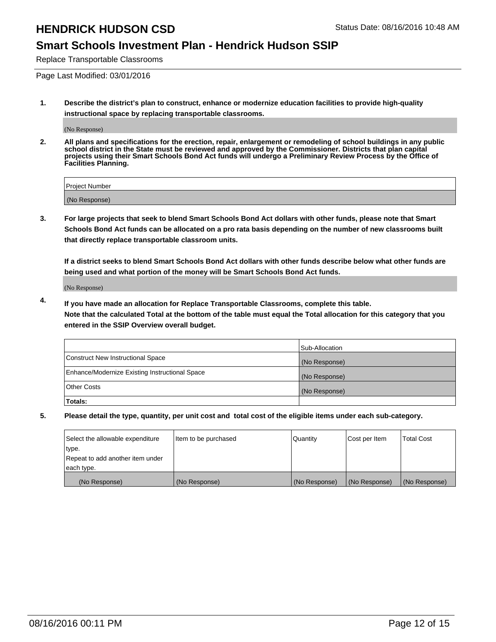#### **Smart Schools Investment Plan - Hendrick Hudson SSIP**

Replace Transportable Classrooms

Page Last Modified: 03/01/2016

**1. Describe the district's plan to construct, enhance or modernize education facilities to provide high-quality instructional space by replacing transportable classrooms.**

(No Response)

**2. All plans and specifications for the erection, repair, enlargement or remodeling of school buildings in any public school district in the State must be reviewed and approved by the Commissioner. Districts that plan capital projects using their Smart Schools Bond Act funds will undergo a Preliminary Review Process by the Office of Facilities Planning.**

| <b>Project Number</b> |  |
|-----------------------|--|
| (No Response)         |  |

**3. For large projects that seek to blend Smart Schools Bond Act dollars with other funds, please note that Smart Schools Bond Act funds can be allocated on a pro rata basis depending on the number of new classrooms built that directly replace transportable classroom units.**

**If a district seeks to blend Smart Schools Bond Act dollars with other funds describe below what other funds are being used and what portion of the money will be Smart Schools Bond Act funds.**

(No Response)

**4. If you have made an allocation for Replace Transportable Classrooms, complete this table. Note that the calculated Total at the bottom of the table must equal the Total allocation for this category that you entered in the SSIP Overview overall budget.**

|                                                | Sub-Allocation |
|------------------------------------------------|----------------|
| Construct New Instructional Space              | (No Response)  |
| Enhance/Modernize Existing Instructional Space | (No Response)  |
| Other Costs                                    | (No Response)  |
| Totals:                                        |                |

| Select the allowable expenditure | Item to be purchased | Quantity      | Cost per Item | <b>Total Cost</b> |
|----------------------------------|----------------------|---------------|---------------|-------------------|
| type.                            |                      |               |               |                   |
| Repeat to add another item under |                      |               |               |                   |
| each type.                       |                      |               |               |                   |
| (No Response)                    | (No Response)        | (No Response) | (No Response) | (No Response)     |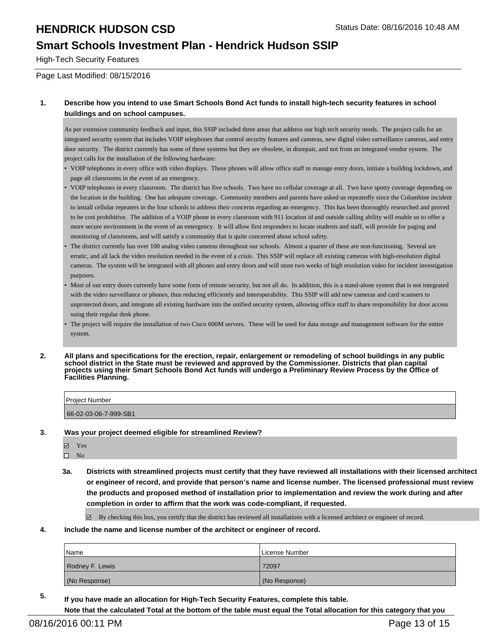#### **Smart Schools Investment Plan - Hendrick Hudson SSIP**

High-Tech Security Features

Page Last Modified: 08/15/2016

#### **1. Describe how you intend to use Smart Schools Bond Act funds to install high-tech security features in school buildings and on school campuses.**

As per extensive community feedback and input, this SSIP included three areas that address our high tech security needs. The project calls for an integrated security system that includes VOIP telephones that control security features and cameras, new digital video surveillance cameras, and entry door security. The district currently has some of these systems but they are obsolete, in disrepair, and not from an integrated vendor system. The project calls for the installation of the following hardware:

- VOIP telephones in every office with video displays. These phones will allow office staff to manage entry doors, initiate a building lockdown, and page all classrooms in the event of an emergency.
- VOIP telephones in every classroom. The district has five schools. Two have no cellular coverage at all. Two have spotty coverage depending on the location in the building. One has adequate coverage. Community members and parents have asked us repeatedly since the Columbine incident to install cellular repeaters in the four schools to address their concerns regarding an emergency. This has been thoroughly researched and proved to be cost prohibitive. The addition of a VOIP phone in every classroom with 911 location id and outside calling ability will enable us to offer a more secure environment in the event of an emergency. It will allow first responders to locate students and staff, will provide for paging and monitoring of classrooms, and will satisfy a community that is quite concerned about school safety. •
- The district currently has over 100 analog video cameras throughout our schools. Almost a quarter of these are non-functioning. Several are erratic, and all lack the video resolution needed in the event of a crisis. This SSIP will replace all existing cameras with high-resolution digital cameras. The system will be integrated with all phones and entry doors and will store two weeks of high resolution video for incident investigation purposes. •
- Most of our entry doors currently have some form of remote security, but not all do. In addition, this is a stand-alone system that is not integrated with the video surveillance or phones, thus reducing efficiently and interoperability. This SSIP will add new cameras and card scanners to unprotected doors, and integrate all existing hardware into the unified security system, allowing office staff to share responsibility for door access suing their regular desk phone. •
- The project will require the installation of two Cisco 600M servers. These will be used for data storage and management software for the entire system. •
- **2. All plans and specifications for the erection, repair, enlargement or remodeling of school buildings in any public school district in the State must be reviewed and approved by the Commissioner. Districts that plan capital projects using their Smart Schools Bond Act funds will undergo a Preliminary Review Process by the Office of Facilities Planning.**

| <b>Project Number</b> |  |
|-----------------------|--|
| 66-02-03-06-7-999-SB1 |  |

**3. Was your project deemed eligible for streamlined Review?**

Yes  $\qquad \qquad$  No

**3a. Districts with streamlined projects must certify that they have reviewed all installations with their licensed architect or engineer of record, and provide that person's name and license number. The licensed professional must review the products and proposed method of installation prior to implementation and review the work during and after completion in order to affirm that the work was code-compliant, if requested.**

By checking this box, you certify that the district has reviewed all installations with a licensed architect or engineer of record.

**4. Include the name and license number of the architect or engineer of record.**

| <b>Name</b>     | License Number |
|-----------------|----------------|
| Rodney F. Lewis | 72097          |
| (No Response)   | (No Response)  |

**5. If you have made an allocation for High-Tech Security Features, complete this table. Note that the calculated Total at the bottom of the table must equal the Total allocation for this category that you**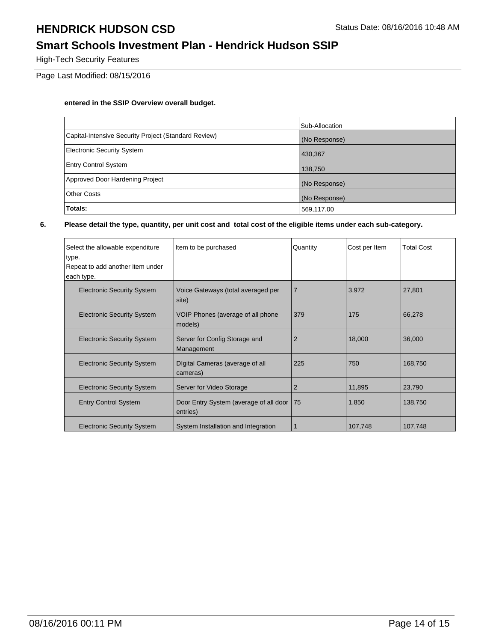## **Smart Schools Investment Plan - Hendrick Hudson SSIP**

High-Tech Security Features

Page Last Modified: 08/15/2016

#### **entered in the SSIP Overview overall budget.**

|                                                      | Sub-Allocation |
|------------------------------------------------------|----------------|
| Capital-Intensive Security Project (Standard Review) | (No Response)  |
| <b>Electronic Security System</b>                    | 430,367        |
| <b>Entry Control System</b>                          | 138,750        |
| Approved Door Hardening Project                      | (No Response)  |
| <b>Other Costs</b>                                   | (No Response)  |
| Totals:                                              | 569,117.00     |

| Select the allowable expenditure<br>type.      | Item to be purchased                               | Quantity       | Cost per Item | <b>Total Cost</b> |
|------------------------------------------------|----------------------------------------------------|----------------|---------------|-------------------|
| Repeat to add another item under<br>each type. |                                                    |                |               |                   |
| <b>Electronic Security System</b>              | Voice Gateways (total averaged per<br>site)        | $\overline{7}$ | 3,972         | 27,801            |
| <b>Electronic Security System</b>              | VOIP Phones (average of all phone<br>models)       | 379            | 175           | 66,278            |
| <b>Electronic Security System</b>              | Server for Config Storage and<br>Management        | $\overline{2}$ | 18,000        | 36,000            |
| <b>Electronic Security System</b>              | Digital Cameras (average of all<br>cameras)        | 225            | 750           | 168,750           |
| <b>Electronic Security System</b>              | Server for Video Storage                           | 2              | 11,895        | 23,790            |
| <b>Entry Control System</b>                    | Door Entry System (average of all door<br>entries) | l 75           | 1,850         | 138,750           |
| <b>Electronic Security System</b>              | System Installation and Integration                |                | 107,748       | 107,748           |